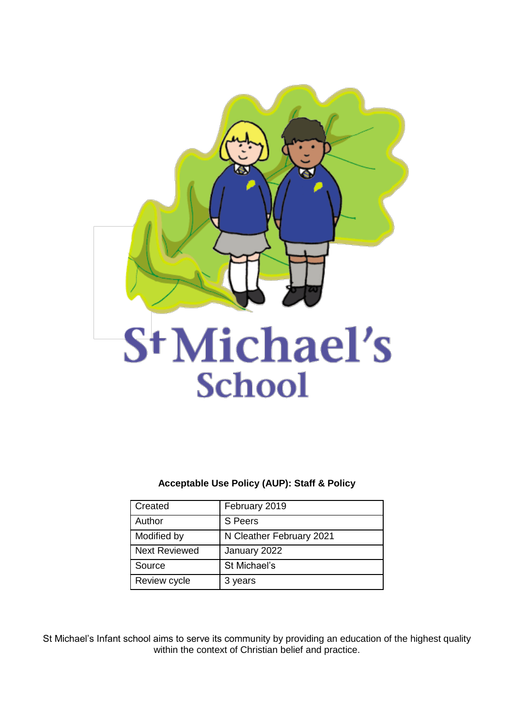

# St Michael's **School**

**Acceptable Use Policy (AUP): Staff & Policy**

| Created              | February 2019            |
|----------------------|--------------------------|
| Author               | S Peers                  |
| Modified by          | N Cleather February 2021 |
| <b>Next Reviewed</b> | January 2022             |
| Source               | St Michael's             |
| Review cycle         | 3 years                  |

St Michael's Infant school aims to serve its community by providing an education of the highest quality within the context of Christian belief and practice.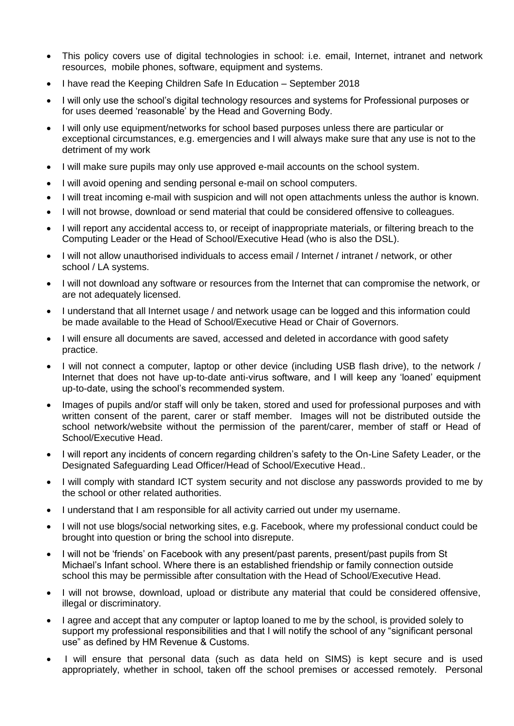- This policy covers use of digital technologies in school: i.e. email, Internet, intranet and network resources, mobile phones, software, equipment and systems.
- I have read the Keeping Children Safe In Education September 2018
- I will only use the school's digital technology resources and systems for Professional purposes or for uses deemed 'reasonable' by the Head and Governing Body.
- I will only use equipment/networks for school based purposes unless there are particular or exceptional circumstances, e.g. emergencies and I will always make sure that any use is not to the detriment of my work
- I will make sure pupils may only use approved e-mail accounts on the school system.
- I will avoid opening and sending personal e-mail on school computers.
- I will treat incoming e-mail with suspicion and will not open attachments unless the author is known.
- I will not browse, download or send material that could be considered offensive to colleagues.
- I will report any accidental access to, or receipt of inappropriate materials, or filtering breach to the Computing Leader or the Head of School/Executive Head (who is also the DSL).
- I will not allow unauthorised individuals to access email / Internet / intranet / network, or other school / LA systems.
- I will not download any software or resources from the Internet that can compromise the network, or are not adequately licensed.
- I understand that all Internet usage / and network usage can be logged and this information could be made available to the Head of School/Executive Head or Chair of Governors.
- I will ensure all documents are saved, accessed and deleted in accordance with good safety practice.
- I will not connect a computer, laptop or other device (including USB flash drive), to the network / Internet that does not have up-to-date anti-virus software, and I will keep any 'loaned' equipment up-to-date, using the school's recommended system.
- Images of pupils and/or staff will only be taken, stored and used for professional purposes and with written consent of the parent, carer or staff member. Images will not be distributed outside the school network/website without the permission of the parent/carer, member of staff or Head of School/Executive Head.
- I will report any incidents of concern regarding children's safety to the On-Line Safety Leader, or the Designated Safeguarding Lead Officer/Head of School/Executive Head..
- I will comply with standard ICT system security and not disclose any passwords provided to me by the school or other related authorities.
- I understand that I am responsible for all activity carried out under my username.
- I will not use blogs/social networking sites, e.g. Facebook, where my professional conduct could be brought into question or bring the school into disrepute.
- I will not be 'friends' on Facebook with any present/past parents, present/past pupils from St Michael's Infant school. Where there is an established friendship or family connection outside school this may be permissible after consultation with the Head of School/Executive Head.
- I will not browse, download, upload or distribute any material that could be considered offensive, illegal or discriminatory.
- I agree and accept that any computer or laptop loaned to me by the school, is provided solely to support my professional responsibilities and that I will notify the school of any "significant personal use" as defined by HM Revenue & Customs.
- I will ensure that personal data (such as data held on SIMS) is kept secure and is used appropriately, whether in school, taken off the school premises or accessed remotely. Personal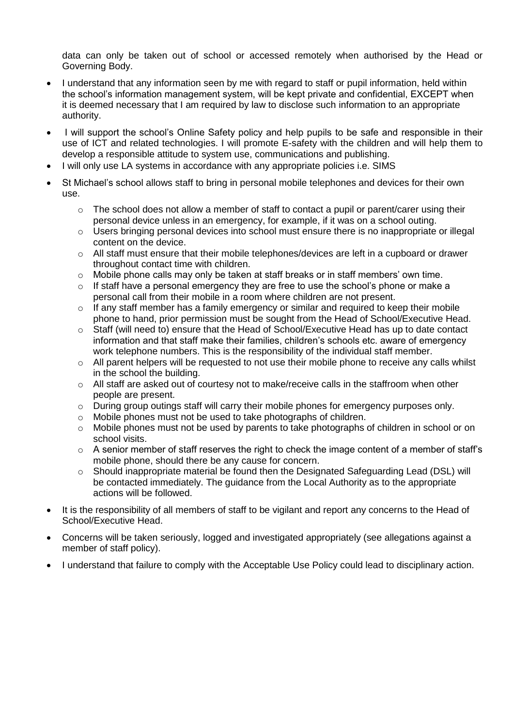data can only be taken out of school or accessed remotely when authorised by the Head or Governing Body.

- I understand that any information seen by me with regard to staff or pupil information, held within the school's information management system, will be kept private and confidential, EXCEPT when it is deemed necessary that I am required by law to disclose such information to an appropriate authority.
- I will support the school's Online Safety policy and help pupils to be safe and responsible in their use of ICT and related technologies. I will promote E-safety with the children and will help them to develop a responsible attitude to system use, communications and publishing.
- I will only use LA systems in accordance with any appropriate policies i.e. SIMS
- St Michael's school allows staff to bring in personal mobile telephones and devices for their own use.
	- $\circ$  The school does not allow a member of staff to contact a pupil or parent/carer using their personal device unless in an emergency, for example, if it was on a school outing.
	- o Users bringing personal devices into school must ensure there is no inappropriate or illegal content on the device.
	- $\circ$  All staff must ensure that their mobile telephones/devices are left in a cupboard or drawer throughout contact time with children.
	- o Mobile phone calls may only be taken at staff breaks or in staff members' own time.
	- $\circ$  If staff have a personal emergency they are free to use the school's phone or make a personal call from their mobile in a room where children are not present.
	- $\circ$  If any staff member has a family emergency or similar and required to keep their mobile phone to hand, prior permission must be sought from the Head of School/Executive Head.
	- $\circ$  Staff (will need to) ensure that the Head of School/Executive Head has up to date contact information and that staff make their families, children's schools etc. aware of emergency work telephone numbers. This is the responsibility of the individual staff member.
	- $\circ$  All parent helpers will be requested to not use their mobile phone to receive any calls whilst in the school the building.
	- $\circ$  All staff are asked out of courtesy not to make/receive calls in the staffroom when other people are present.
	- $\circ$  During group outings staff will carry their mobile phones for emergency purposes only.
	- o Mobile phones must not be used to take photographs of children.
	- o Mobile phones must not be used by parents to take photographs of children in school or on school visits.
	- o A senior member of staff reserves the right to check the image content of a member of staff's mobile phone, should there be any cause for concern.
	- $\circ$  Should inappropriate material be found then the Designated Safeguarding Lead (DSL) will be contacted immediately. The guidance from the Local Authority as to the appropriate actions will be followed.
- It is the responsibility of all members of staff to be vigilant and report any concerns to the Head of School/Executive Head.
- Concerns will be taken seriously, logged and investigated appropriately (see allegations against a member of staff policy).
- I understand that failure to comply with the Acceptable Use Policy could lead to disciplinary action.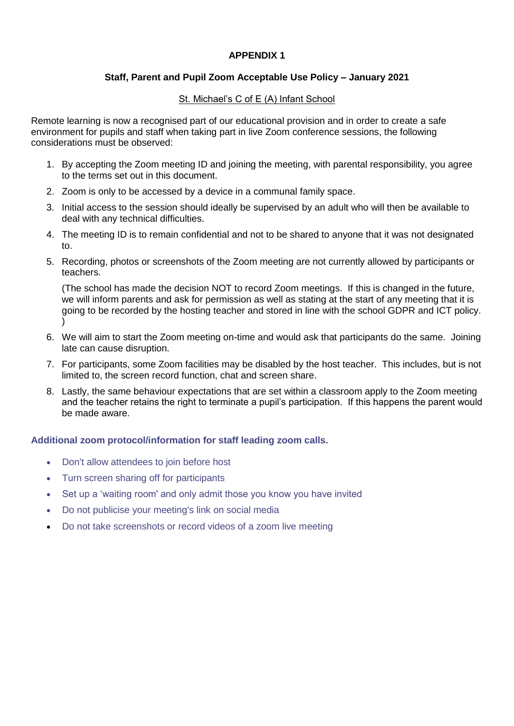## **APPENDIX 1**

# **Staff, Parent and Pupil Zoom Acceptable Use Policy – January 2021**

## St. Michael's C of E (A) Infant School

Remote learning is now a recognised part of our educational provision and in order to create a safe environment for pupils and staff when taking part in live Zoom conference sessions, the following considerations must be observed:

- 1. By accepting the Zoom meeting ID and joining the meeting, with parental responsibility, you agree to the terms set out in this document.
- 2. Zoom is only to be accessed by a device in a communal family space.
- 3. Initial access to the session should ideally be supervised by an adult who will then be available to deal with any technical difficulties.
- 4. The meeting ID is to remain confidential and not to be shared to anyone that it was not designated to.
- 5. Recording, photos or screenshots of the Zoom meeting are not currently allowed by participants or teachers.

(The school has made the decision NOT to record Zoom meetings. If this is changed in the future, we will inform parents and ask for permission as well as stating at the start of any meeting that it is going to be recorded by the hosting teacher and stored in line with the school GDPR and ICT policy. )

- 6. We will aim to start the Zoom meeting on-time and would ask that participants do the same. Joining late can cause disruption.
- 7. For participants, some Zoom facilities may be disabled by the host teacher. This includes, but is not limited to, the screen record function, chat and screen share.
- 8. Lastly, the same behaviour expectations that are set within a classroom apply to the Zoom meeting and the teacher retains the right to terminate a pupil's participation. If this happens the parent would be made aware.

### **Additional zoom protocol/information for staff leading zoom calls.**

- Don't allow attendees to join before host
- Turn screen sharing off for participants
- Set up a 'waiting room' and only admit those you know you have invited
- Do not publicise your meeting's link on social media
- Do not take screenshots or record videos of a zoom live meeting